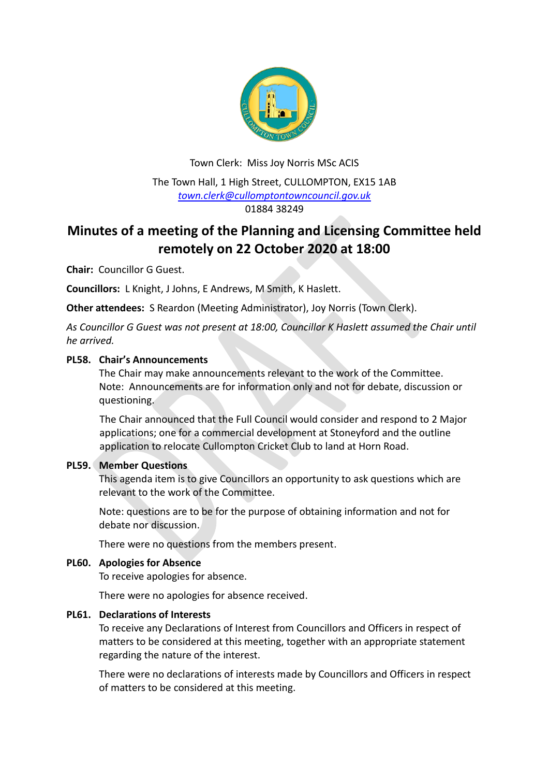

Town Clerk: Miss Joy Norris MSc ACIS The Town Hall, 1 High Street, CULLOMPTON, EX15 1AB *[town.clerk@cullomptontowncouncil.gov.uk](mailto:town.clerk@cullomptontowncouncil.gov.uk)* 01884 38249

# **Minutes of a meeting of the Planning and Licensing Committee held remotely on 22 October 2020 at 18:00**

**Chair:** Councillor G Guest.

**Councillors:** L Knight, J Johns, E Andrews, M Smith, K Haslett.

**Other attendees:** S Reardon (Meeting Administrator), Joy Norris (Town Clerk).

*As Councillor G Guest was not present at 18:00, Councillor K Haslett assumed the Chair until he arrived.*

## **PL58. Chair's Announcements**

The Chair may make announcements relevant to the work of the Committee. Note: Announcements are for information only and not for debate, discussion or questioning.

The Chair announced that the Full Council would consider and respond to 2 Major applications; one for a commercial development at Stoneyford and the outline application to relocate Cullompton Cricket Club to land at Horn Road.

# **PL59. Member Questions**

This agenda item is to give Councillors an opportunity to ask questions which are relevant to the work of the Committee.

Note: questions are to be for the purpose of obtaining information and not for debate nor discussion.

There were no questions from the members present.

# **PL60. Apologies for Absence**

To receive apologies for absence.

There were no apologies for absence received.

#### **PL61. Declarations of Interests**

To receive any Declarations of Interest from Councillors and Officers in respect of matters to be considered at this meeting, together with an appropriate statement regarding the nature of the interest.

There were no declarations of interests made by Councillors and Officers in respect of matters to be considered at this meeting.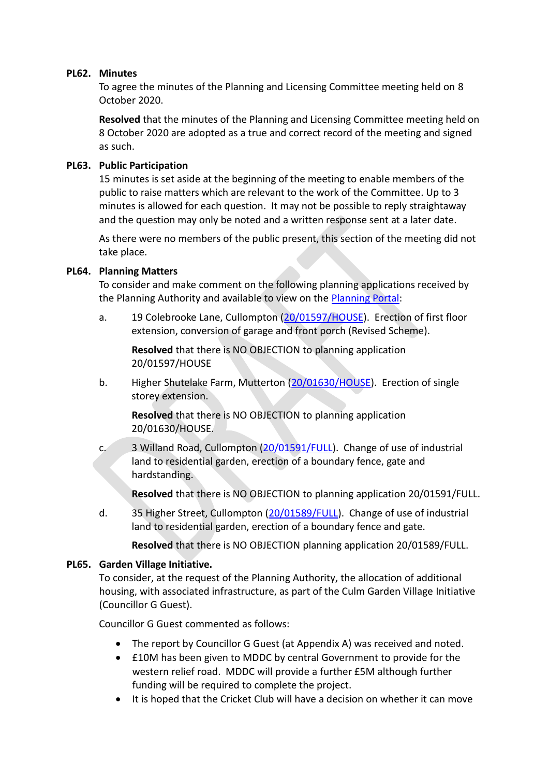### **PL62. Minutes**

To agree the minutes of the Planning and Licensing Committee meeting held on 8 October 2020.

**Resolved** that the minutes of the Planning and Licensing Committee meeting held on 8 October 2020 are adopted as a true and correct record of the meeting and signed as such.

## **PL63. Public Participation**

15 minutes is set aside at the beginning of the meeting to enable members of the public to raise matters which are relevant to the work of the Committee. Up to 3 minutes is allowed for each question. It may not be possible to reply straightaway and the question may only be noted and a written response sent at a later date.

As there were no members of the public present, this section of the meeting did not take place.

## **PL64. Planning Matters**

To consider and make comment on the following planning applications received by the Planning Authority and available to view on the [Planning Portal:](https://planning.middevon.gov.uk/online-applications/)

a. 19 Colebrooke Lane, Cullompton [\(20/01597/HOUSE\)](https://planning.middevon.gov.uk/online-applications/applicationDetails.do?activeTab=documents&keyVal=QHGZC5KS07T00). Erection of first floor extension, conversion of garage and front porch (Revised Scheme).

**Resolved** that there is NO OBJECTION to planning application 20/01597/HOUSE

b. Higher Shutelake Farm, Mutterton [\(20/01630/HOUSE\)](https://planning.middevon.gov.uk/online-applications/applicationDetails.do?activeTab=documents&keyVal=QHTT6SKS07T00). Erection of single storey extension.

**Resolved** that there is NO OBJECTION to planning application 20/01630/HOUSE.

c. 3 Willand Road, Cullompton [\(20/01591/FULL\)](https://planning.middevon.gov.uk/online-applications/applicationDetails.do?activeTab=documents&keyVal=QHGSYCKS04G00). Change of use of industrial land to residential garden, erection of a boundary fence, gate and hardstanding.

**Resolved** that there is NO OBJECTION to planning application 20/01591/FULL.

d. 35 Higher Street, Cullompton [\(20/01589/FULL\)](https://planning.middevon.gov.uk/online-applications/applicationDetails.do?activeTab=documents&keyVal=QHGQS7KS04G00). Change of use of industrial land to residential garden, erection of a boundary fence and gate.

**Resolved** that there is NO OBJECTION planning application 20/01589/FULL.

#### **PL65. Garden Village Initiative.**

To consider, at the request of the Planning Authority, the allocation of additional housing, with associated infrastructure, as part of the Culm Garden Village Initiative (Councillor G Guest).

Councillor G Guest commented as follows:

- The report by Councillor G Guest (at Appendix A) was received and noted.
- £10M has been given to MDDC by central Government to provide for the western relief road. MDDC will provide a further £5M although further funding will be required to complete the project.
- It is hoped that the Cricket Club will have a decision on whether it can move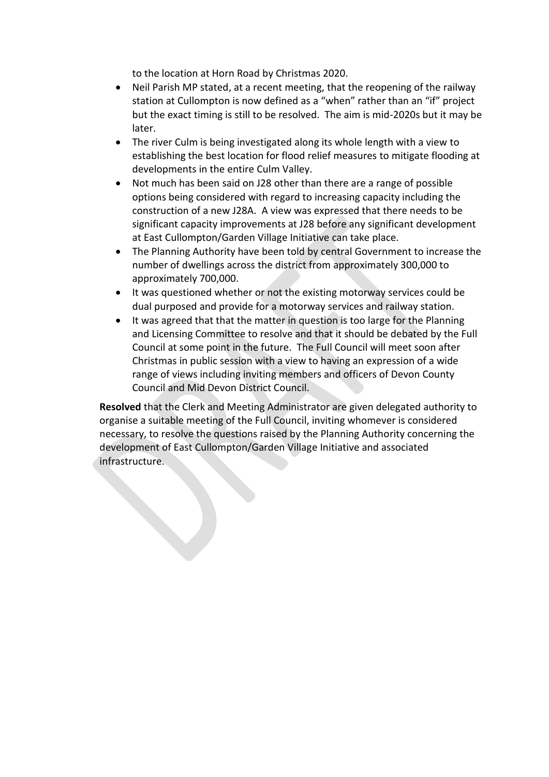to the location at Horn Road by Christmas 2020.

- Neil Parish MP stated, at a recent meeting, that the reopening of the railway station at Cullompton is now defined as a "when" rather than an "if" project but the exact timing is still to be resolved. The aim is mid-2020s but it may be later.
- The river Culm is being investigated along its whole length with a view to establishing the best location for flood relief measures to mitigate flooding at developments in the entire Culm Valley.
- Not much has been said on J28 other than there are a range of possible options being considered with regard to increasing capacity including the construction of a new J28A. A view was expressed that there needs to be significant capacity improvements at J28 before any significant development at East Cullompton/Garden Village Initiative can take place.
- The Planning Authority have been told by central Government to increase the number of dwellings across the district from approximately 300,000 to approximately 700,000.
- It was questioned whether or not the existing motorway services could be dual purposed and provide for a motorway services and railway station.
- It was agreed that that the matter in question is too large for the Planning and Licensing Committee to resolve and that it should be debated by the Full Council at some point in the future. The Full Council will meet soon after Christmas in public session with a view to having an expression of a wide range of views including inviting members and officers of Devon County Council and Mid Devon District Council.

**Resolved** that the Clerk and Meeting Administrator are given delegated authority to organise a suitable meeting of the Full Council, inviting whomever is considered necessary, to resolve the questions raised by the Planning Authority concerning the development of East Cullompton/Garden Village Initiative and associated infrastructure.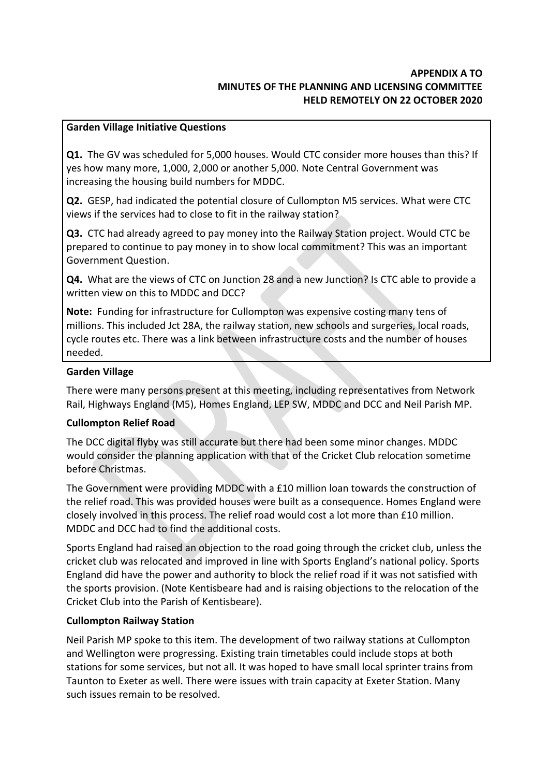# **APPENDIX A TO MINUTES OF THE PLANNING AND LICENSING COMMITTEE HELD REMOTELY ON 22 OCTOBER 2020**

### **Garden Village Initiative Questions**

**Q1.** The GV was scheduled for 5,000 houses. Would CTC consider more houses than this? If yes how many more, 1,000, 2,000 or another 5,000. Note Central Government was increasing the housing build numbers for MDDC.

**Q2.** GESP, had indicated the potential closure of Cullompton M5 services. What were CTC views if the services had to close to fit in the railway station?

**Q3.** CTC had already agreed to pay money into the Railway Station project. Would CTC be prepared to continue to pay money in to show local commitment? This was an important Government Question.

**Q4.** What are the views of CTC on Junction 28 and a new Junction? Is CTC able to provide a written view on this to MDDC and DCC?

**Note:** Funding for infrastructure for Cullompton was expensive costing many tens of millions. This included Jct 28A, the railway station, new schools and surgeries, local roads, cycle routes etc. There was a link between infrastructure costs and the number of houses needed.

#### **Garden Village**

There were many persons present at this meeting, including representatives from Network Rail, Highways England (M5), Homes England, LEP SW, MDDC and DCC and Neil Parish MP.

# **Cullompton Relief Road**

The DCC digital flyby was still accurate but there had been some minor changes. MDDC would consider the planning application with that of the Cricket Club relocation sometime before Christmas.

The Government were providing MDDC with a £10 million loan towards the construction of the relief road. This was provided houses were built as a consequence. Homes England were closely involved in this process. The relief road would cost a lot more than £10 million. MDDC and DCC had to find the additional costs.

Sports England had raised an objection to the road going through the cricket club, unless the cricket club was relocated and improved in line with Sports England's national policy. Sports England did have the power and authority to block the relief road if it was not satisfied with the sports provision. (Note Kentisbeare had and is raising objections to the relocation of the Cricket Club into the Parish of Kentisbeare).

# **Cullompton Railway Station**

Neil Parish MP spoke to this item. The development of two railway stations at Cullompton and Wellington were progressing. Existing train timetables could include stops at both stations for some services, but not all. It was hoped to have small local sprinter trains from Taunton to Exeter as well. There were issues with train capacity at Exeter Station. Many such issues remain to be resolved.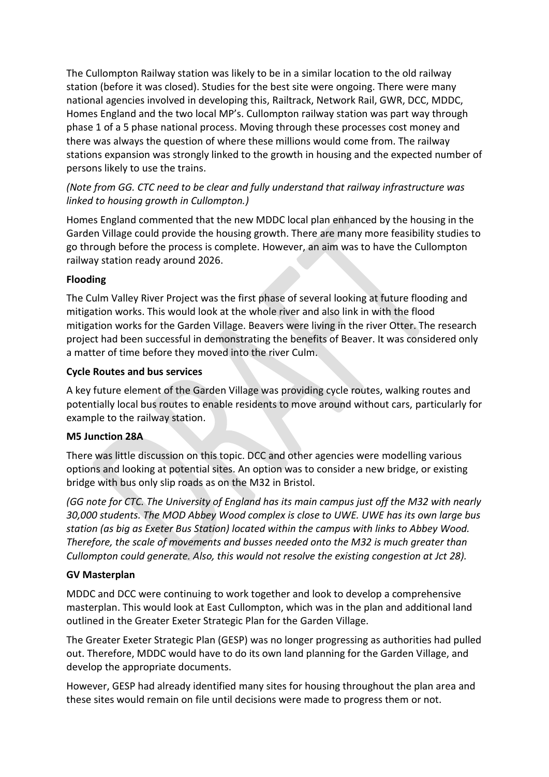The Cullompton Railway station was likely to be in a similar location to the old railway station (before it was closed). Studies for the best site were ongoing. There were many national agencies involved in developing this, Railtrack, Network Rail, GWR, DCC, MDDC, Homes England and the two local MP's. Cullompton railway station was part way through phase 1 of a 5 phase national process. Moving through these processes cost money and there was always the question of where these millions would come from. The railway stations expansion was strongly linked to the growth in housing and the expected number of persons likely to use the trains.

*(Note from GG. CTC need to be clear and fully understand that railway infrastructure was linked to housing growth in Cullompton.)*

Homes England commented that the new MDDC local plan enhanced by the housing in the Garden Village could provide the housing growth. There are many more feasibility studies to go through before the process is complete. However, an aim was to have the Cullompton railway station ready around 2026.

# **Flooding**

The Culm Valley River Project was the first phase of several looking at future flooding and mitigation works. This would look at the whole river and also link in with the flood mitigation works for the Garden Village. Beavers were living in the river Otter. The research project had been successful in demonstrating the benefits of Beaver. It was considered only a matter of time before they moved into the river Culm.

# **Cycle Routes and bus services**

A key future element of the Garden Village was providing cycle routes, walking routes and potentially local bus routes to enable residents to move around without cars, particularly for example to the railway station.

# **M5 Junction 28A**

There was little discussion on this topic. DCC and other agencies were modelling various options and looking at potential sites. An option was to consider a new bridge, or existing bridge with bus only slip roads as on the M32 in Bristol.

*(GG note for CTC. The University of England has its main campus just off the M32 with nearly 30,000 students. The MOD Abbey Wood complex is close to UWE. UWE has its own large bus station (as big as Exeter Bus Station) located within the campus with links to Abbey Wood. Therefore, the scale of movements and busses needed onto the M32 is much greater than Cullompton could generate. Also, this would not resolve the existing congestion at Jct 28).*

# **GV Masterplan**

MDDC and DCC were continuing to work together and look to develop a comprehensive masterplan. This would look at East Cullompton, which was in the plan and additional land outlined in the Greater Exeter Strategic Plan for the Garden Village.

The Greater Exeter Strategic Plan (GESP) was no longer progressing as authorities had pulled out. Therefore, MDDC would have to do its own land planning for the Garden Village, and develop the appropriate documents.

However, GESP had already identified many sites for housing throughout the plan area and these sites would remain on file until decisions were made to progress them or not.